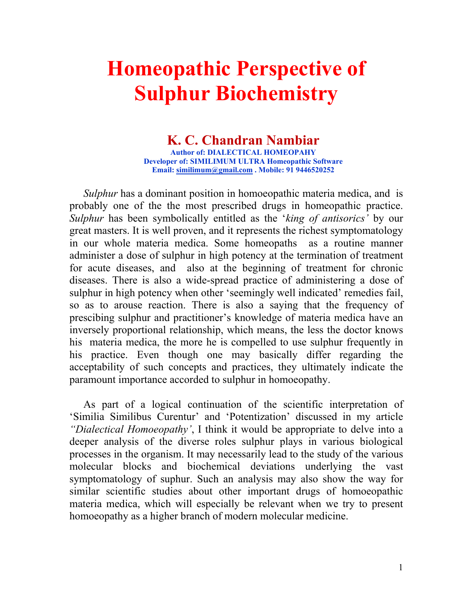# Homeopathic Perspective of Sulphur Biochemistry

# K. C. Chandran Nambiar

Author of: DIALECTICAL HOMEOPAHY Developer of: SIMILIMUM ULTRA Homeopathic Software Email: similimum@gmail.com . Mobile: 91 9446520252

Sulphur has a dominant position in homoeopathic materia medica, and is probably one of the the most prescribed drugs in homeopathic practice. Sulphur has been symbolically entitled as the 'king of antisorics' by our great masters. It is well proven, and it represents the richest symptomatology in our whole materia medica. Some homeopaths as a routine manner administer a dose of sulphur in high potency at the termination of treatment for acute diseases, and also at the beginning of treatment for chronic diseases. There is also a wide-spread practice of administering a dose of sulphur in high potency when other 'seemingly well indicated' remedies fail, so as to arouse reaction. There is also a saying that the frequency of prescibing sulphur and practitioner's knowledge of materia medica have an inversely proportional relationship, which means, the less the doctor knows his materia medica, the more he is compelled to use sulphur frequently in his practice. Even though one may basically differ regarding the acceptability of such concepts and practices, they ultimately indicate the paramount importance accorded to sulphur in homoeopathy.

As part of a logical continuation of the scientific interpretation of 'Similia Similibus Curentur' and 'Potentization' discussed in my article "Dialectical Homoeopathy', I think it would be appropriate to delve into a deeper analysis of the diverse roles sulphur plays in various biological processes in the organism. It may necessarily lead to the study of the various molecular blocks and biochemical deviations underlying the vast symptomatology of suphur. Such an analysis may also show the way for similar scientific studies about other important drugs of homoeopathic materia medica, which will especially be relevant when we try to present homoeopathy as a higher branch of modern molecular medicine.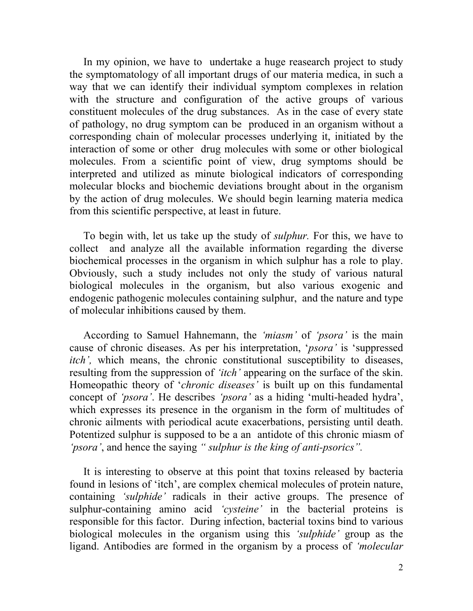In my opinion, we have to undertake a huge reasearch project to study the symptomatology of all important drugs of our materia medica, in such a way that we can identify their individual symptom complexes in relation with the structure and configuration of the active groups of various constituent molecules of the drug substances. As in the case of every state of pathology, no drug symptom can be produced in an organism without a corresponding chain of molecular processes underlying it, initiated by the interaction of some or other drug molecules with some or other biological molecules. From a scientific point of view, drug symptoms should be interpreted and utilized as minute biological indicators of corresponding molecular blocks and biochemic deviations brought about in the organism by the action of drug molecules. We should begin learning materia medica from this scientific perspective, at least in future.

To begin with, let us take up the study of sulphur. For this, we have to collect and analyze all the available information regarding the diverse biochemical processes in the organism in which sulphur has a role to play. Obviously, such a study includes not only the study of various natural biological molecules in the organism, but also various exogenic and endogenic pathogenic molecules containing sulphur, and the nature and type of molecular inhibitions caused by them.

According to Samuel Hahnemann, the 'miasm' of 'psora' is the main cause of chronic diseases. As per his interpretation, 'psora' is 'suppressed itch', which means, the chronic constitutional susceptibility to diseases, resulting from the suppression of *'itch'* appearing on the surface of the skin. Homeopathic theory of *'chronic diseases'* is built up on this fundamental concept of 'psora'. He describes 'psora' as a hiding 'multi-headed hydra', which expresses its presence in the organism in the form of multitudes of chronic ailments with periodical acute exacerbations, persisting until death. Potentized sulphur is supposed to be a an antidote of this chronic miasm of 'psora', and hence the saying " sulphur is the king of anti-psorics".

It is interesting to observe at this point that toxins released by bacteria found in lesions of 'itch', are complex chemical molecules of protein nature, containing 'sulphide' radicals in their active groups. The presence of sulphur-containing amino acid 'cysteine' in the bacterial proteins is responsible for this factor. During infection, bacterial toxins bind to various biological molecules in the organism using this 'sulphide' group as the ligand. Antibodies are formed in the organism by a process of 'molecular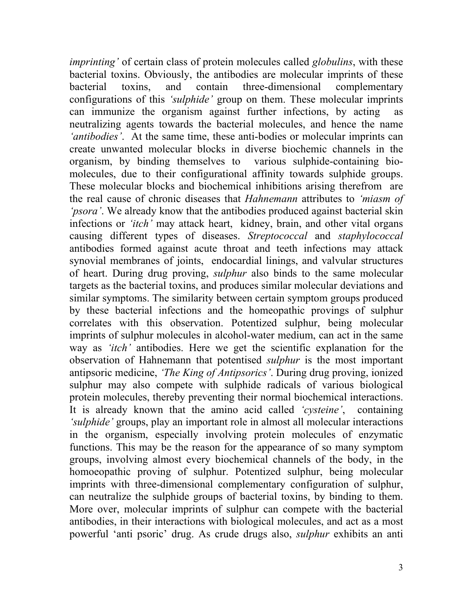*imprinting*' of certain class of protein molecules called *globulins*, with these bacterial toxins. Obviously, the antibodies are molecular imprints of these bacterial toxins, and contain three-dimensional complementary configurations of this 'sulphide' group on them. These molecular imprints can immunize the organism against further infections, by acting as neutralizing agents towards the bacterial molecules, and hence the name 'antibodies'. At the same time, these anti-bodies or molecular imprints can create unwanted molecular blocks in diverse biochemic channels in the organism, by binding themselves to various sulphide-containing biomolecules, due to their configurational affinity towards sulphide groups. These molecular blocks and biochemical inhibitions arising therefrom are the real cause of chronic diseases that Hahnemann attributes to 'miasm of 'psora'. We already know that the antibodies produced against bacterial skin infections or *'itch'* may attack heart, kidney, brain, and other vital organs causing different types of diseases. Streptococcal and staphylococcal antibodies formed against acute throat and teeth infections may attack synovial membranes of joints, endocardial linings, and valvular structures of heart. During drug proving, sulphur also binds to the same molecular targets as the bacterial toxins, and produces similar molecular deviations and similar symptoms. The similarity between certain symptom groups produced by these bacterial infections and the homeopathic provings of sulphur correlates with this observation. Potentized sulphur, being molecular imprints of sulphur molecules in alcohol-water medium, can act in the same way as *'itch'* antibodies. Here we get the scientific explanation for the observation of Hahnemann that potentised sulphur is the most important antipsoric medicine, 'The King of Antipsorics'. During drug proving, ionized sulphur may also compete with sulphide radicals of various biological protein molecules, thereby preventing their normal biochemical interactions. It is already known that the amino acid called 'cysteine', containing 'sulphide' groups, play an important role in almost all molecular interactions in the organism, especially involving protein molecules of enzymatic functions. This may be the reason for the appearance of so many symptom groups, involving almost every biochemical channels of the body, in the homoeopathic proving of sulphur. Potentized sulphur, being molecular imprints with three-dimensional complementary configuration of sulphur, can neutralize the sulphide groups of bacterial toxins, by binding to them. More over, molecular imprints of sulphur can compete with the bacterial antibodies, in their interactions with biological molecules, and act as a most powerful 'anti psoric' drug. As crude drugs also, sulphur exhibits an anti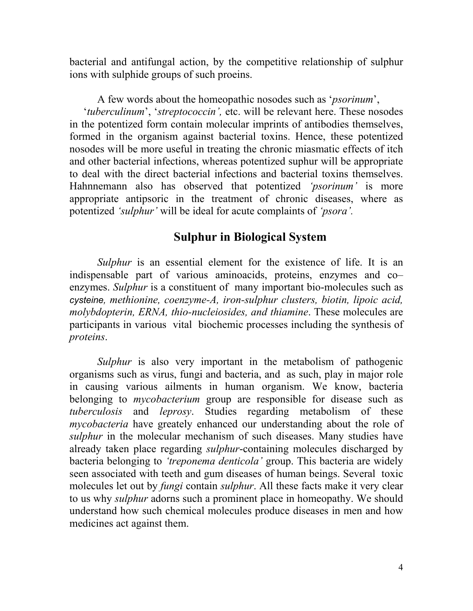bacterial and antifungal action, by the competitive relationship of sulphur ions with sulphide groups of such proeins.

A few words about the homeopathic nosodes such as 'psorinum', 'tuberculinum', 'streptococcin', etc. will be relevant here. These nosodes in the potentized form contain molecular imprints of antibodies themselves, formed in the organism against bacterial toxins. Hence, these potentized nosodes will be more useful in treating the chronic miasmatic effects of itch and other bacterial infections, whereas potentized suphur will be appropriate to deal with the direct bacterial infections and bacterial toxins themselves. Hahnnemann also has observed that potentized '*psorinum*' is more appropriate antipsoric in the treatment of chronic diseases, where as potentized 'sulphur' will be ideal for acute complaints of 'psora'.

# Sulphur in Biological System

Sulphur is an essential element for the existence of life. It is an indispensable part of various aminoacids, proteins, enzymes and co– enzymes. Sulphur is a constituent of many important bio-molecules such as cysteine, methionine, coenzyme-A, iron-sulphur clusters, biotin, lipoic acid, molybdopterin, ERNA, thio-nucleiosides, and thiamine. These molecules are participants in various vital biochemic processes including the synthesis of proteins.

Sulphur is also very important in the metabolism of pathogenic organisms such as virus, fungi and bacteria, and as such, play in major role in causing various ailments in human organism. We know, bacteria belonging to *mycobacterium* group are responsible for disease such as tuberculosis and leprosy. Studies regarding metabolism of these mycobacteria have greately enhanced our understanding about the role of sulphur in the molecular mechanism of such diseases. Many studies have already taken place regarding *sulphur*-containing molecules discharged by bacteria belonging to *'treponema denticola'* group. This bacteria are widely seen associated with teeth and gum diseases of human beings. Several toxic molecules let out by *fungi* contain *sulphur*. All these facts make it very clear to us why *sulphur* adorns such a prominent place in homeopathy. We should understand how such chemical molecules produce diseases in men and how medicines act against them.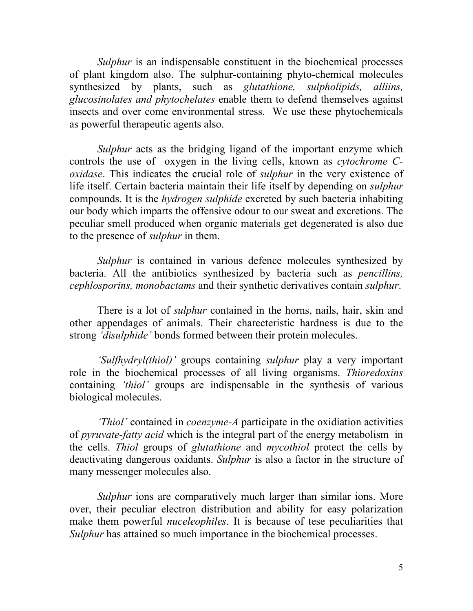Sulphur is an indispensable constituent in the biochemical processes of plant kingdom also. The sulphur-containing phyto-chemical molecules synthesized by plants, such as *glutathione*, *sulpholipids*, *alliins*, glucosinolates and phytochelates enable them to defend themselves against insects and over come environmental stress. We use these phytochemicals as powerful therapeutic agents also.

Sulphur acts as the bridging ligand of the important enzyme which controls the use of oxygen in the living cells, known as cytochrome Coxidase. This indicates the crucial role of sulphur in the very existence of life itself. Certain bacteria maintain their life itself by depending on sulphur compounds. It is the hydrogen sulphide excreted by such bacteria inhabiting our body which imparts the offensive odour to our sweat and excretions. The peculiar smell produced when organic materials get degenerated is also due to the presence of sulphur in them.

Sulphur is contained in various defence molecules synthesized by bacteria. All the antibiotics synthesized by bacteria such as pencillins, cephlosporins, monobactams and their synthetic derivatives contain sulphur.

There is a lot of *sulphur* contained in the horns, nails, hair, skin and other appendages of animals. Their charecteristic hardness is due to the strong 'disulphide' bonds formed between their protein molecules.

'Sulfhydryl(thiol)' groups containing sulphur play a very important role in the biochemical processes of all living organisms. Thioredoxins containing 'thiol' groups are indispensable in the synthesis of various biological molecules.

'Thiol' contained in coenzyme-A participate in the oxidiation activities of pyruvate-fatty acid which is the integral part of the energy metabolism in the cells. Thiol groups of glutathione and mycothiol protect the cells by deactivating dangerous oxidants. Sulphur is also a factor in the structure of many messenger molecules also.

Sulphur ions are comparatively much larger than similar ions. More over, their peculiar electron distribution and ability for easy polarization make them powerful *nuceleophiles*. It is because of tese peculiarities that Sulphur has attained so much importance in the biochemical processes.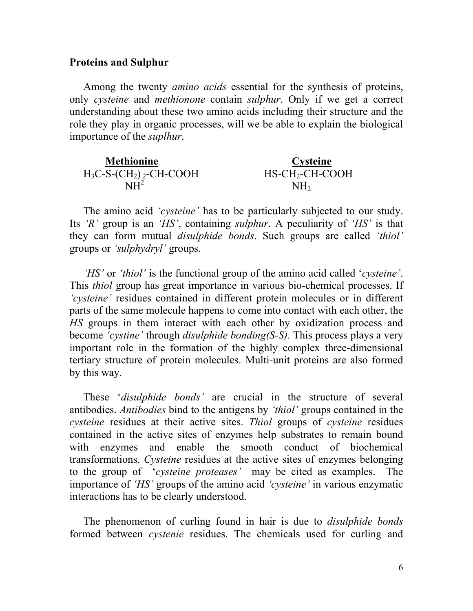### Proteins and Sulphur

Among the twenty amino acids essential for the synthesis of proteins, only cysteine and *methionone* contain *sulphur*. Only if we get a correct understanding about these two amino acids including their structure and the role they play in organic processes, will we be able to explain the biological importance of the suplhur.

| <b>Methionine</b>         | Cysteine          |
|---------------------------|-------------------|
| $H_3C-S-(CH_2)_2-CH-COOH$ | $HS-CH_2-CH-COOH$ |
| NH≁                       | NH <sub>2</sub>   |

The amino acid *'cysteine'* has to be particularly subjected to our study. Its 'R' group is an 'HS', containing *sulphur*. A peculiarity of 'HS' is that they can form mutual *disulphide bonds*. Such groups are called 'thiol' groups or 'sulphydryl' groups.

'HS' or 'thiol' is the functional group of the amino acid called 'cysteine'. This thiol group has great importance in various bio-chemical processes. If 'cysteine' residues contained in different protein molecules or in different parts of the same molecule happens to come into contact with each other, the HS groups in them interact with each other by oxidization process and become 'cystine' through *disulphide bonding(S-S)*. This process plays a very important role in the formation of the highly complex three-dimensional tertiary structure of protein molecules. Multi-unit proteins are also formed by this way.

These 'disulphide bonds' are crucial in the structure of several antibodies. Antibodies bind to the antigens by 'thiol' groups contained in the cysteine residues at their active sites. Thiol groups of cysteine residues contained in the active sites of enzymes help substrates to remain bound with enzymes and enable the smooth conduct of biochemical transformations. Cysteine residues at the active sites of enzymes belonging to the group of 'cysteine proteases' may be cited as examples. The importance of 'HS' groups of the amino acid 'cysteine' in various enzymatic interactions has to be clearly understood.

The phenomenon of curling found in hair is due to *disulphide bonds* formed between cystenie residues. The chemicals used for curling and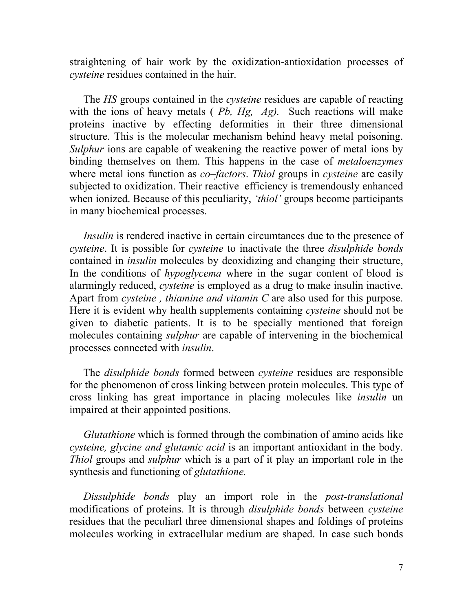straightening of hair work by the oxidization-antioxidation processes of cysteine residues contained in the hair.

The HS groups contained in the *cysteine* residues are capable of reacting with the ions of heavy metals (*Pb, Hg, Ag)*. Such reactions will make proteins inactive by effecting deformities in their three dimensional structure. This is the molecular mechanism behind heavy metal poisoning. Sulphur ions are capable of weakening the reactive power of metal ions by binding themselves on them. This happens in the case of metaloenzymes where metal ions function as *co–factors*. Thiol groups in *cysteine* are easily subjected to oxidization. Their reactive efficiency is tremendously enhanced when ionized. Because of this peculiarity, *'thiol'* groups become participants in many biochemical processes.

Insulin is rendered inactive in certain circumtances due to the presence of cysteine. It is possible for cysteine to inactivate the three disulphide bonds contained in insulin molecules by deoxidizing and changing their structure, In the conditions of *hypoglycema* where in the sugar content of blood is alarmingly reduced, cysteine is employed as a drug to make insulin inactive. Apart from *cysteine*, *thiamine and vitamin* C are also used for this purpose. Here it is evident why health supplements containing cysteine should not be given to diabetic patients. It is to be specially mentioned that foreign molecules containing sulphur are capable of intervening in the biochemical processes connected with insulin.

The disulphide bonds formed between cysteine residues are responsible for the phenomenon of cross linking between protein molecules. This type of cross linking has great importance in placing molecules like insulin un impaired at their appointed positions.

Glutathione which is formed through the combination of amino acids like cysteine, glycine and glutamic acid is an important antioxidant in the body. Thiol groups and sulphur which is a part of it play an important role in the synthesis and functioning of *glutathione*.

Dissulphide bonds play an import role in the post-translational modifications of proteins. It is through disulphide bonds between cysteine residues that the peculiarl three dimensional shapes and foldings of proteins molecules working in extracellular medium are shaped. In case such bonds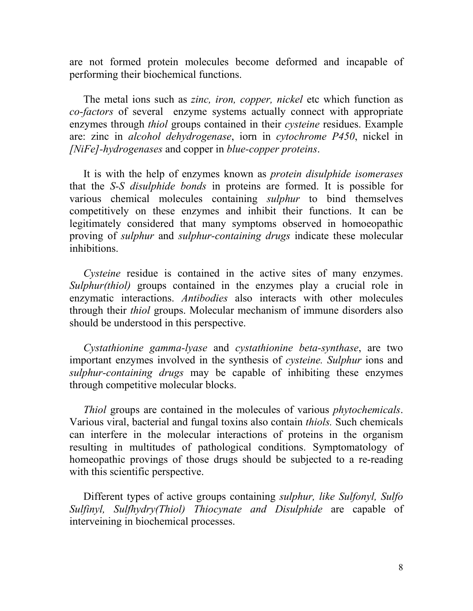are not formed protein molecules become deformed and incapable of performing their biochemical functions.

The metal ions such as *zinc, iron, copper, nickel* etc which function as co-factors of several enzyme systems actually connect with appropriate enzymes through thiol groups contained in their cysteine residues. Example are: zinc in alcohol dehydrogenase, iorn in cytochrome P450, nickel in [NiFe]-hydrogenases and copper in blue-copper proteins.

It is with the help of enzymes known as *protein disulphide isomerases* that the S-S disulphide bonds in proteins are formed. It is possible for various chemical molecules containing sulphur to bind themselves competitively on these enzymes and inhibit their functions. It can be legitimately considered that many symptoms observed in homoeopathic proving of sulphur and sulphur-containing drugs indicate these molecular inhibitions.

Cysteine residue is contained in the active sites of many enzymes. Sulphur(thiol) groups contained in the enzymes play a crucial role in enzymatic interactions. Antibodies also interacts with other molecules through their thiol groups. Molecular mechanism of immune disorders also should be understood in this perspective.

Cystathionine gamma-lyase and cystathionine beta-synthase, are two important enzymes involved in the synthesis of cysteine. Sulphur ions and sulphur-containing drugs may be capable of inhibiting these enzymes through competitive molecular blocks.

Thiol groups are contained in the molecules of various phytochemicals. Various viral, bacterial and fungal toxins also contain thiols. Such chemicals can interfere in the molecular interactions of proteins in the organism resulting in multitudes of pathological conditions. Symptomatology of homeopathic provings of those drugs should be subjected to a re-reading with this scientific perspective.

Different types of active groups containing *sulphur*, *like Sulfonyl*, *Sulfo* Sulfinyl, Sulfhydry(Thiol) Thiocynate and Disulphide are capable of interveining in biochemical processes.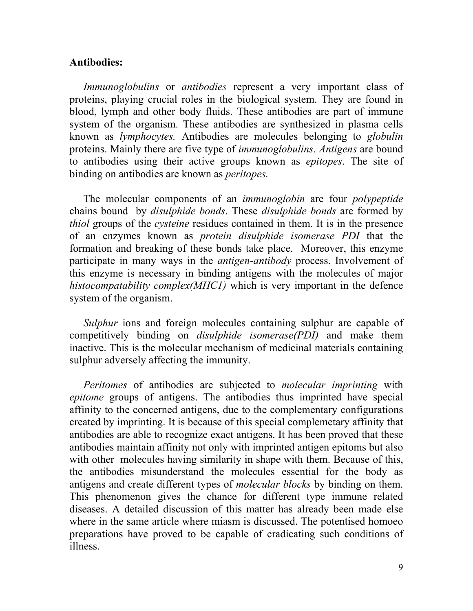## Antibodies:

Immunoglobulins or antibodies represent a very important class of proteins, playing crucial roles in the biological system. They are found in blood, lymph and other body fluids. These antibodies are part of immune system of the organism. These antibodies are synthesized in plasma cells known as lymphocytes. Antibodies are molecules belonging to globulin proteins. Mainly there are five type of immunoglobulins. Antigens are bound to antibodies using their active groups known as epitopes. The site of binding on antibodies are known as *peritopes*.

The molecular components of an *immunoglobin* are four *polypeptide* chains bound by disulphide bonds. These disulphide bonds are formed by thiol groups of the cysteine residues contained in them. It is in the presence of an enzymes known as protein disulphide isomerase PDI that the formation and breaking of these bonds take place. Moreover, this enzyme participate in many ways in the *antigen-antibody* process. Involvement of this enzyme is necessary in binding antigens with the molecules of major histocompatability complex(MHC1) which is very important in the defence system of the organism.

Sulphur ions and foreign molecules containing sulphur are capable of competitively binding on disulphide isomerase(PDI) and make them inactive. This is the molecular mechanism of medicinal materials containing sulphur adversely affecting the immunity.

Peritomes of antibodies are subjected to molecular imprinting with epitome groups of antigens. The antibodies thus imprinted have special affinity to the concerned antigens, due to the complementary configurations created by imprinting. It is because of this special complemetary affinity that antibodies are able to recognize exact antigens. It has been proved that these antibodies maintain affinity not only with imprinted antigen epitoms but also with other molecules having similarity in shape with them. Because of this, the antibodies misunderstand the molecules essential for the body as antigens and create different types of *molecular blocks* by binding on them. This phenomenon gives the chance for different type immune related diseases. A detailed discussion of this matter has already been made else where in the same article where miasm is discussed. The potentised homoeo preparations have proved to be capable of cradicating such conditions of illness.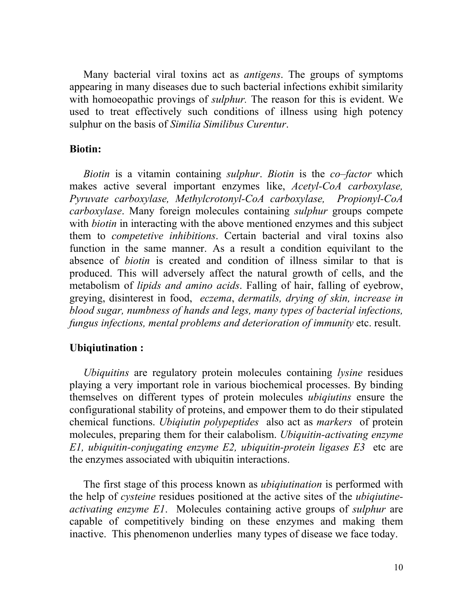Many bacterial viral toxins act as antigens. The groups of symptoms appearing in many diseases due to such bacterial infections exhibit similarity with homoeopathic provings of *sulphur*. The reason for this is evident. We used to treat effectively such conditions of illness using high potency sulphur on the basis of Similia Similibus Curentur.

# Biotin:

Biotin is a vitamin containing *sulphur*. Biotin is the *co–factor* which makes active several important enzymes like, Acetyl-CoA carboxylase, Pyruvate carboxylase, Methylcrotonyl-CoA carboxylase, Propionyl-CoA carboxylase. Many foreign molecules containing sulphur groups compete with *biotin* in interacting with the above mentioned enzymes and this subject them to competetive inhibitions. Certain bacterial and viral toxins also function in the same manner. As a result a condition equivilant to the absence of biotin is created and condition of illness similar to that is produced. This will adversely affect the natural growth of cells, and the metabolism of *lipids and amino acids*. Falling of hair, falling of eyebrow, greying, disinterest in food, eczema, dermatils, drying of skin, increase in blood sugar, numbness of hands and legs, many types of bacterial infections, fungus infections, mental problems and deterioration of immunity etc. result.

# Ubiqiutination :

Ubiquitins are regulatory protein molecules containing *lysine* residues playing a very important role in various biochemical processes. By binding themselves on different types of protein molecules ubiqiutins ensure the configurational stability of proteins, and empower them to do their stipulated chemical functions. Ubiqiutin polypeptides also act as markers of protein molecules, preparing them for their calabolism. Ubiquitin-activating enzyme E1, ubiquitin-conjugating enzyme E2, ubiquitin-protein ligases E3 etc are the enzymes associated with ubiquitin interactions.

The first stage of this process known as *ubiquitination* is performed with the help of cysteine residues positioned at the active sites of the ubiqiutineactivating enzyme E1. Molecules containing active groups of sulphur are capable of competitively binding on these enzymes and making them inactive. This phenomenon underlies many types of disease we face today.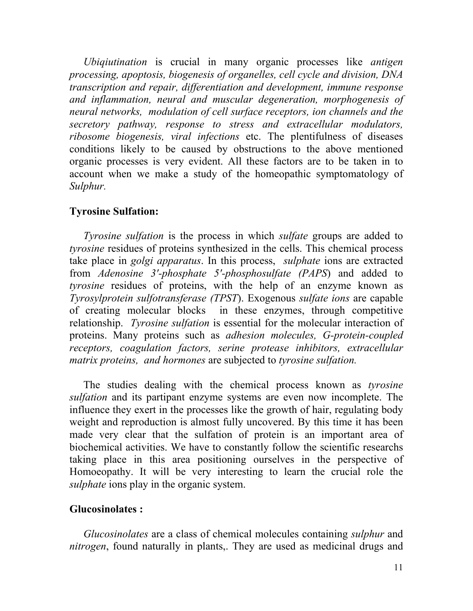Ubiquutination is crucial in many organic processes like antigen processing, apoptosis, biogenesis of organelles, cell cycle and division, DNA transcription and repair, differentiation and development, immune response and inflammation, neural and muscular degeneration, morphogenesis of neural networks, modulation of cell surface receptors, ion channels and the secretory pathway, response to stress and extracellular modulators, ribosome biogenesis, viral infections etc. The plentifulness of diseases conditions likely to be caused by obstructions to the above mentioned organic processes is very evident. All these factors are to be taken in to account when we make a study of the homeopathic symptomatology of Sulphur.

# Tyrosine Sulfation:

Tyrosine sulfation is the process in which sulfate groups are added to tyrosine residues of proteins synthesized in the cells. This chemical process take place in *golgi apparatus*. In this process, *sulphate* ions are extracted from Adenosine 3'-phosphate 5'-phosphosulfate (PAPS) and added to tyrosine residues of proteins, with the help of an enzyme known as Tyrosylprotein sulfotransferase (TPST). Exogenous sulfate ions are capable of creating molecular blocks in these enzymes, through competitive relationship. Tyrosine sulfation is essential for the molecular interaction of proteins. Many proteins such as adhesion molecules, G-protein-coupled receptors, coagulation factors, serine protease inhibitors, extracellular matrix proteins, and hormones are subjected to tyrosine sulfation.

The studies dealing with the chemical process known as tyrosine sulfation and its partipant enzyme systems are even now incomplete. The influence they exert in the processes like the growth of hair, regulating body weight and reproduction is almost fully uncovered. By this time it has been made very clear that the sulfation of protein is an important area of biochemical activities. We have to constantly follow the scientific researchs taking place in this area positioning ourselves in the perspective of Homoeopathy. It will be very interesting to learn the crucial role the sulphate ions play in the organic system.

# Glucosinolates :

Glucosinolates are a class of chemical molecules containing sulphur and nitrogen, found naturally in plants,. They are used as medicinal drugs and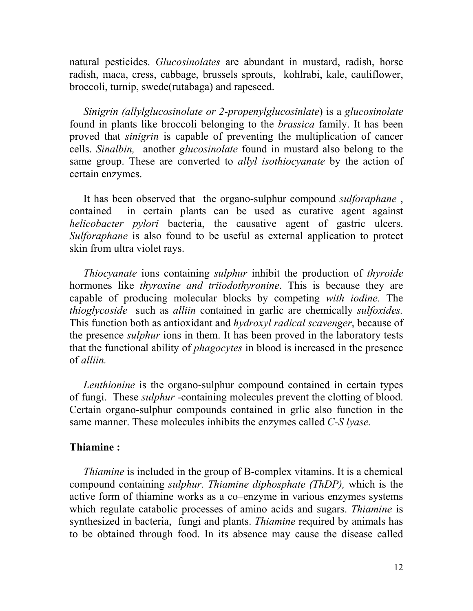natural pesticides. Glucosinolates are abundant in mustard, radish, horse radish, maca, cress, cabbage, brussels sprouts, kohlrabi, kale, cauliflower, broccoli, turnip, swede(rutabaga) and rapeseed.

Sinigrin (allylglucosinolate or 2-propenylglucosinlate) is a glucosinolate found in plants like broccoli belonging to the brassica family. It has been proved that sinigrin is capable of preventing the multiplication of cancer cells. Sinalbin, another glucosinolate found in mustard also belong to the same group. These are converted to *allyl isothiocyanate* by the action of certain enzymes.

It has been observed that the organo-sulphur compound sulforaphane , contained in certain plants can be used as curative agent against helicobacter pylori bacteria, the causative agent of gastric ulcers. Sulforaphane is also found to be useful as external application to protect skin from ultra violet rays.

Thiocyanate ions containing sulphur inhibit the production of thyroide hormones like thyroxine and triiodothyronine. This is because they are capable of producing molecular blocks by competing with iodine. The thioglycoside such as alliin contained in garlic are chemically sulfoxides. This function both as antioxidant and *hydroxyl radical scavenger*, because of the presence *sulphur* ions in them. It has been proved in the laboratory tests that the functional ability of phagocytes in blood is increased in the presence of alliin.

Lenthionine is the organo-sulphur compound contained in certain types of fungi. These *sulphur* -containing molecules prevent the clotting of blood. Certain organo-sulphur compounds contained in grlic also function in the same manner. These molecules inhibits the enzymes called C-S lyase.

#### Thiamine :

Thiamine is included in the group of B-complex vitamins. It is a chemical compound containing sulphur. Thiamine diphosphate (ThDP), which is the active form of thiamine works as a co–enzyme in various enzymes systems which regulate catabolic processes of amino acids and sugars. *Thiamine* is synthesized in bacteria, fungi and plants. *Thiamine* required by animals has to be obtained through food. In its absence may cause the disease called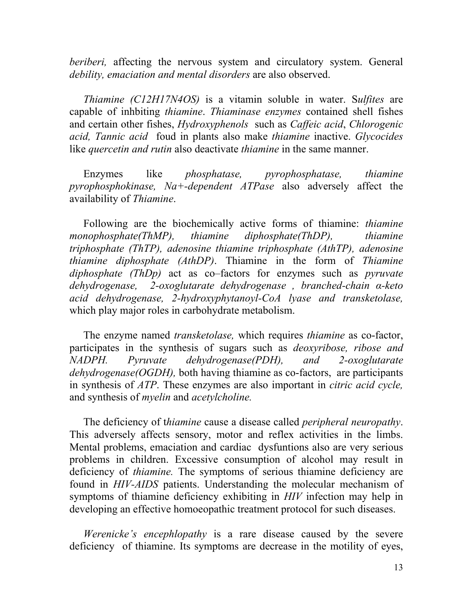beriberi, affecting the nervous system and circulatory system. General debility, emaciation and mental disorders are also observed.

Thiamine (C12H17N4OS) is a vitamin soluble in water. Sulfites are capable of inhbiting thiamine. Thiaminase enzymes contained shell fishes and certain other fishes, Hydroxyphenols such as Caffeic acid, Chlorogenic acid, Tannic acid foud in plants also make thiamine inactive. Glycocides like *quercetin and rutin* also deactivate *thiamine* in the same manner.

Enzymes like phosphatase, pyrophosphatase, thiamine pyrophosphokinase,  $Na +-dependent$  ATPase also adversely affect the availability of Thiamine.

Following are the biochemically active forms of thiamine: thiamine monophosphate(ThMP), thiamine diphosphate(ThDP), thiamine triphosphate (ThTP), adenosine thiamine triphosphate (AthTP), adenosine thiamine diphosphate (AthDP). Thiamine in the form of Thiamine diphosphate (ThDp) act as co–factors for enzymes such as *pyruvate* dehydrogenase, 2-oxoglutarate dehydrogenase , branched-chain α-keto acid dehydrogenase, 2-hydroxyphytanoyl-CoA lyase and transketolase, which play major roles in carbohydrate metabolism.

The enzyme named *transketolase*, which requires *thiamine* as co-factor, participates in the synthesis of sugars such as deoxyribose, ribose and NADPH. Pyruvate dehydrogenase(PDH), and 2-oxoglutarate dehydrogenase(OGDH), both having thiamine as co-factors, are participants in synthesis of ATP. These enzymes are also important in citric acid cycle, and synthesis of myelin and acetylcholine.

The deficiency of thiamine cause a disease called *peripheral neuropathy*. This adversely affects sensory, motor and reflex activities in the limbs. Mental problems, emaciation and cardiac dysfuntions also are very serious problems in children. Excessive consumption of alcohol may result in deficiency of thiamine. The symptoms of serious thiamine deficiency are found in HIV-AIDS patients. Understanding the molecular mechanism of symptoms of thiamine deficiency exhibiting in HIV infection may help in developing an effective homoeopathic treatment protocol for such diseases.

Werenicke's encephlopathy is a rare disease caused by the severe deficiency of thiamine. Its symptoms are decrease in the motility of eyes,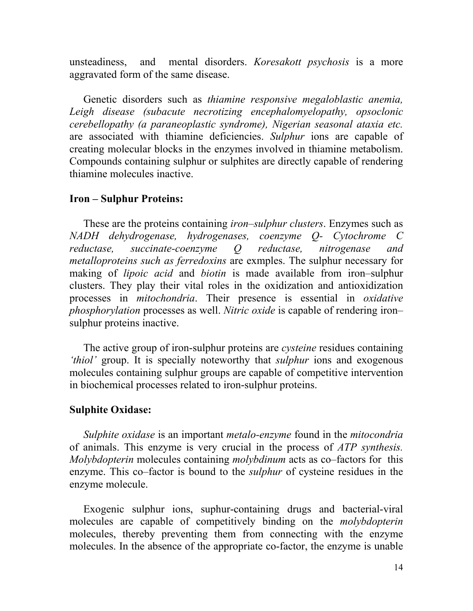unsteadiness, and mental disorders. *Koresakott psychosis* is a more aggravated form of the same disease.

Genetic disorders such as thiamine responsive megaloblastic anemia, Leigh disease (subacute necrotizing encephalomyelopathy, opsoclonic cerebellopathy (a paraneoplastic syndrome), Nigerian seasonal ataxia etc. are associated with thiamine deficiencies. Sulphur ions are capable of creating molecular blocks in the enzymes involved in thiamine metabolism. Compounds containing sulphur or sulphites are directly capable of rendering thiamine molecules inactive.

## Iron – Sulphur Proteins:

These are the proteins containing *iron–sulphur clusters*. Enzymes such as NADH dehydrogenase, hydrogenases, coenzyme Q- Cytochrome C reductase, succinate-coenzyme Q reductase, nitrogenase and metalloproteins such as ferredoxins are exmples. The sulphur necessary for making of *lipoic acid* and *biotin* is made available from iron–sulphur clusters. They play their vital roles in the oxidization and antioxidization processes in mitochondria. Their presence is essential in oxidative phosphorylation processes as well. Nitric oxide is capable of rendering iron– sulphur proteins inactive.

The active group of iron-sulphur proteins are *cysteine* residues containing 'thiol' group. It is specially noteworthy that sulphur ions and exogenous molecules containing sulphur groups are capable of competitive intervention in biochemical processes related to iron-sulphur proteins.

#### Sulphite Oxidase:

Sulphite oxidase is an important *metalo-enzyme* found in the *mitocondria* of animals. This enzyme is very crucial in the process of ATP synthesis. Molybdopterin molecules containing molybdinum acts as co–factors for this enzyme. This co–factor is bound to the *sulphur* of cysteine residues in the enzyme molecule.

Exogenic sulphur ions, suphur-containing drugs and bacterial-viral molecules are capable of competitively binding on the molybdopterin molecules, thereby preventing them from connecting with the enzyme molecules. In the absence of the appropriate co-factor, the enzyme is unable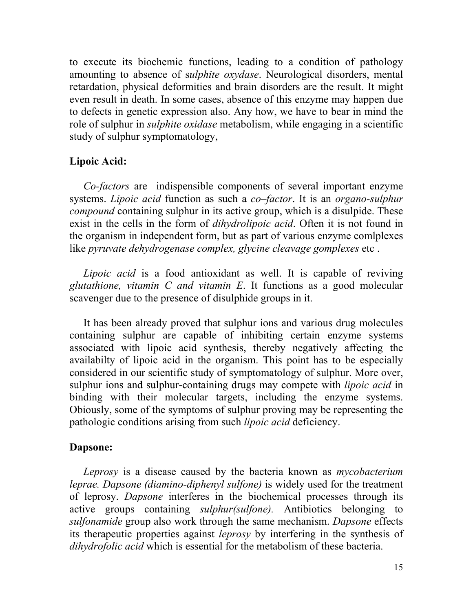to execute its biochemic functions, leading to a condition of pathology amounting to absence of sulphite oxydase. Neurological disorders, mental retardation, physical deformities and brain disorders are the result. It might even result in death. In some cases, absence of this enzyme may happen due to defects in genetic expression also. Any how, we have to bear in mind the role of sulphur in sulphite oxidase metabolism, while engaging in a scientific study of sulphur symptomatology,

#### Lipoic Acid:

Co-factors are indispensible components of several important enzyme systems. *Lipoic acid* function as such a *co–factor*. It is an *organo-sulphur* compound containing sulphur in its active group, which is a disulpide. These exist in the cells in the form of *dihydrolipoic acid*. Often it is not found in the organism in independent form, but as part of various enzyme comlplexes like pyruvate dehydrogenase complex, glycine cleavage gomplexes etc.

Lipoic acid is a food antioxidant as well. It is capable of reviving glutathione, vitamin  $C$  and vitamin  $E$ . It functions as a good molecular scavenger due to the presence of disulphide groups in it.

It has been already proved that sulphur ions and various drug molecules containing sulphur are capable of inhibiting certain enzyme systems associated with lipoic acid synthesis, thereby negatively affecting the availabilty of lipoic acid in the organism. This point has to be especially considered in our scientific study of symptomatology of sulphur. More over, sulphur ions and sulphur-containing drugs may compete with *lipoic acid* in binding with their molecular targets, including the enzyme systems. Obiously, some of the symptoms of sulphur proving may be representing the pathologic conditions arising from such lipoic acid deficiency.

#### Dapsone:

Leprosy is a disease caused by the bacteria known as *mycobacterium* leprae. Dapsone (diamino-diphenyl sulfone) is widely used for the treatment of leprosy. Dapsone interferes in the biochemical processes through its active groups containing sulphur(sulfone). Antibiotics belonging to sulfonamide group also work through the same mechanism. Dapsone effects its therapeutic properties against leprosy by interfering in the synthesis of dihydrofolic acid which is essential for the metabolism of these bacteria.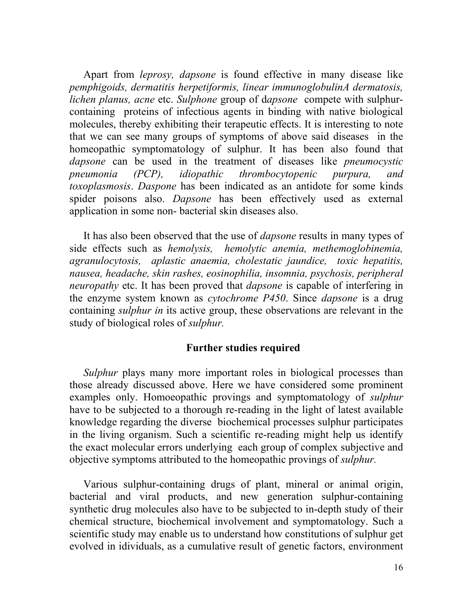Apart from *leprosy*, *dapsone* is found effective in many disease like pemphigoids, dermatitis herpetiformis, linear immunoglobulinA dermatosis, lichen planus, acne etc. Sulphone group of dapsone compete with sulphurcontaining proteins of infectious agents in binding with native biological molecules, thereby exhibiting their terapeutic effects. It is interesting to note that we can see many groups of symptoms of above said diseases in the homeopathic symptomatology of sulphur. It has been also found that dapsone can be used in the treatment of diseases like *pneumocystic* pneumonia (PCP), idiopathic thrombocytopenic purpura, and toxoplasmosis. Daspone has been indicated as an antidote for some kinds spider poisons also. Dapsone has been effectively used as external application in some non- bacterial skin diseases also.

It has also been observed that the use of *dapsone* results in many types of side effects such as hemolysis, hemolytic anemia, methemoglobinemia, agranulocytosis, aplastic anaemia, cholestatic jaundice, toxic hepatitis, nausea, headache, skin rashes, eosinophilia, insomnia, psychosis, peripheral neuropathy etc. It has been proved that *dapsone* is capable of interfering in the enzyme system known as *cytochrome P450*. Since *dapsone* is a drug containing sulphur in its active group, these observations are relevant in the study of biological roles of sulphur.

#### Further studies required

Sulphur plays many more important roles in biological processes than those already discussed above. Here we have considered some prominent examples only. Homoeopathic provings and symptomatology of sulphur have to be subjected to a thorough re-reading in the light of latest available knowledge regarding the diverse biochemical processes sulphur participates in the living organism. Such a scientific re-reading might help us identify the exact molecular errors underlying each group of complex subjective and objective symptoms attributed to the homeopathic provings of *sulphur*.

Various sulphur-containing drugs of plant, mineral or animal origin, bacterial and viral products, and new generation sulphur-containing synthetic drug molecules also have to be subjected to in-depth study of their chemical structure, biochemical involvement and symptomatology. Such a scientific study may enable us to understand how constitutions of sulphur get evolved in idividuals, as a cumulative result of genetic factors, environment